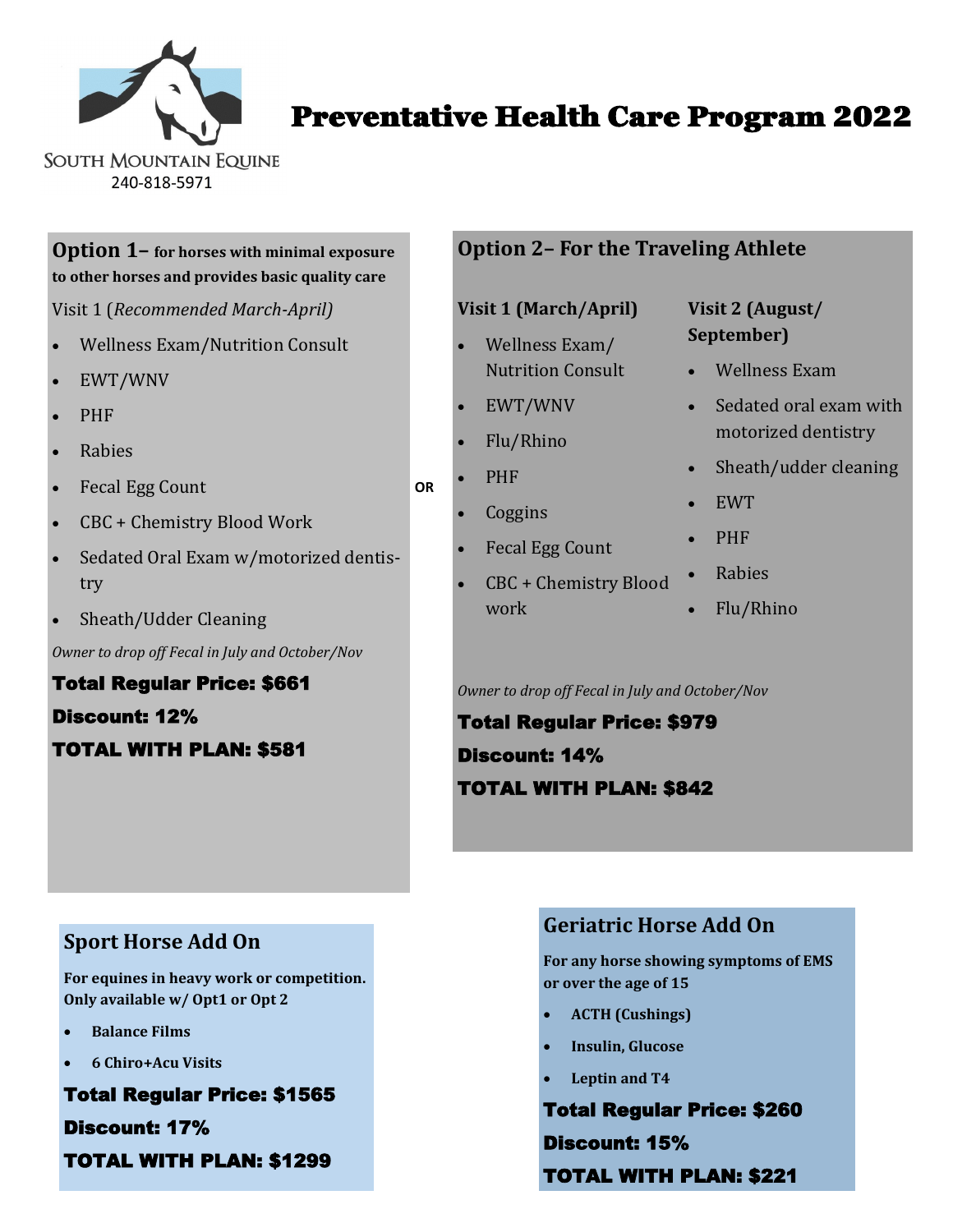

Preventative Health Care Program 2022

**Option 1– for horses with minimal exposure to other horses and provides basic quality care** 

Visit 1 (*Recommended March-April)*

- Wellness Exam/Nutrition Consult
- EWT/WNV
- PHF
- Rabies
- Fecal Egg Count
- CBC + Chemistry Blood Work
- Sedated Oral Exam w/motorized dentistry
- Sheath/Udder Cleaning

*Owner to drop off Fecal in July and October/Nov*

Total Regular Price: \$661 Discount: 12% TOTAL WITH PLAN: \$581

### **Option 2– For the Traveling Athlete**

#### **Visit 1 (March/April)**

- Wellness Exam/ Nutrition Consult
- EWT/WNV
- Flu/Rhino
- PHF

**OR**

- **Coggins**
- Fecal Egg Count
- CBC + Chemistry Blood work

## **Visit 2 (August/ September)**

- Wellness Exam
- Sedated oral exam with motorized dentistry
- Sheath/udder cleaning
- EWT
- PHF
- Rabies
- Flu/Rhino

*Owner to drop off Fecal in July and October/Nov*

Total Regular Price: \$979 Discount: 14% TOTAL WITH PLAN: \$842

## **Sport Horse Add On**

**For equines in heavy work or competition. Only available w/ Opt1 or Opt 2**

- **Balance Films**
- **6 Chiro+Acu Visits**

Total Regular Price: \$1565 Discount: 17% TOTAL WITH PLAN: \$1299

## **Geriatric Horse Add On**

**For any horse showing symptoms of EMS or over the age of 15**

- **ACTH (Cushings)**
- **Insulin, Glucose**
- **Leptin and T4**

Total Regular Price: \$260 Discount: 15% TOTAL WITH PLAN: \$221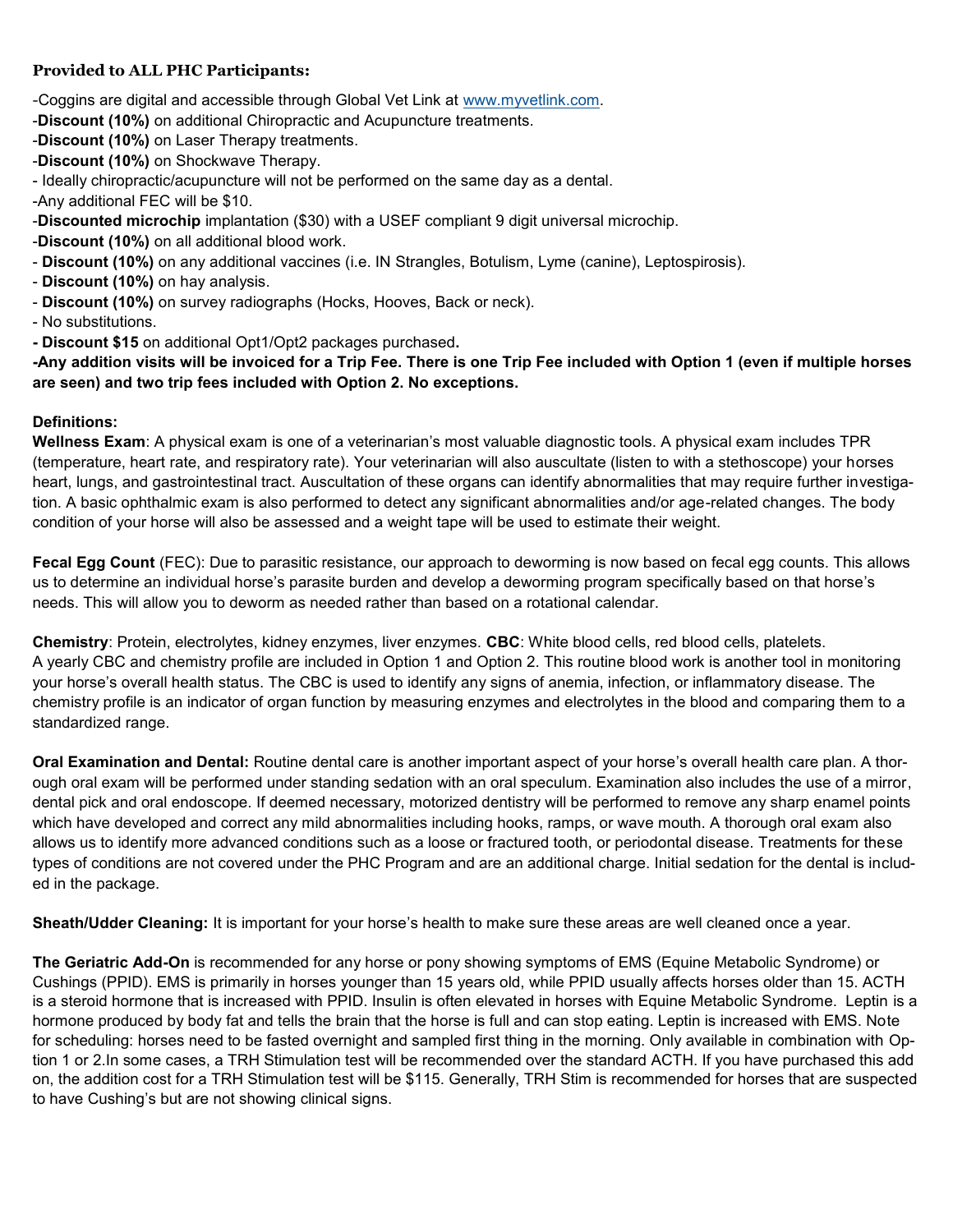#### **Provided to ALL PHC Participants:**

- -Coggins are digital and accessible through Global Vet Link at [www.myvetlink.com.](file:///C:/Users/SouthMountainEquine/Documents/www.myvetlink.com)
- -**Discount (10%)** on additional Chiropractic and Acupuncture treatments.
- -**Discount (10%)** on Laser Therapy treatments.
- -**Discount (10%)** on Shockwave Therapy.
- Ideally chiropractic/acupuncture will not be performed on the same day as a dental.
- -Any additional FEC will be \$10.
- -**Discounted microchip** implantation (\$30) with a USEF compliant 9 digit universal microchip.
- -**Discount (10%)** on all additional blood work.
- **Discount (10%)** on any additional vaccines (i.e. IN Strangles, Botulism, Lyme (canine), Leptospirosis).
- **Discount (10%)** on hay analysis.
- **Discount (10%)** on survey radiographs (Hocks, Hooves, Back or neck).
- No substitutions.
- **- Discount \$15** on additional Opt1/Opt2 packages purchased**.**

**-Any addition visits will be invoiced for a Trip Fee. There is one Trip Fee included with Option 1 (even if multiple horses are seen) and two trip fees included with Option 2. No exceptions.** 

#### **Definitions:**

**Wellness Exam**: A physical exam is one of a veterinarian's most valuable diagnostic tools. A physical exam includes TPR (temperature, heart rate, and respiratory rate). Your veterinarian will also auscultate (listen to with a stethoscope) your horses heart, lungs, and gastrointestinal tract. Auscultation of these organs can identify abnormalities that may require further investigation. A basic ophthalmic exam is also performed to detect any significant abnormalities and/or age-related changes. The body condition of your horse will also be assessed and a weight tape will be used to estimate their weight.

**Fecal Egg Count** (FEC): Due to parasitic resistance, our approach to deworming is now based on fecal egg counts. This allows us to determine an individual horse's parasite burden and develop a deworming program specifically based on that horse's needs. This will allow you to deworm as needed rather than based on a rotational calendar.

**Chemistry**: Protein, electrolytes, kidney enzymes, liver enzymes. **CBC**: White blood cells, red blood cells, platelets. A yearly CBC and chemistry profile are included in Option 1 and Option 2. This routine blood work is another tool in monitoring your horse's overall health status. The CBC is used to identify any signs of anemia, infection, or inflammatory disease. The chemistry profile is an indicator of organ function by measuring enzymes and electrolytes in the blood and comparing them to a standardized range.

**Oral Examination and Dental:** Routine dental care is another important aspect of your horse's overall health care plan. A thorough oral exam will be performed under standing sedation with an oral speculum. Examination also includes the use of a mirror, dental pick and oral endoscope. If deemed necessary, motorized dentistry will be performed to remove any sharp enamel points which have developed and correct any mild abnormalities including hooks, ramps, or wave mouth. A thorough oral exam also allows us to identify more advanced conditions such as a loose or fractured tooth, or periodontal disease. Treatments for these types of conditions are not covered under the PHC Program and are an additional charge. Initial sedation for the dental is included in the package.

**Sheath/Udder Cleaning:** It is important for your horse's health to make sure these areas are well cleaned once a year.

**The Geriatric Add-On** is recommended for any horse or pony showing symptoms of EMS (Equine Metabolic Syndrome) or Cushings (PPID). EMS is primarily in horses younger than 15 years old, while PPID usually affects horses older than 15. ACTH is a steroid hormone that is increased with PPID. Insulin is often elevated in horses with Equine Metabolic Syndrome. Leptin is a hormone produced by body fat and tells the brain that the horse is full and can stop eating. Leptin is increased with EMS. Note for scheduling: horses need to be fasted overnight and sampled first thing in the morning. Only available in combination with Option 1 or 2.In some cases, a TRH Stimulation test will be recommended over the standard ACTH. If you have purchased this add on, the addition cost for a TRH Stimulation test will be \$115. Generally, TRH Stim is recommended for horses that are suspected to have Cushing's but are not showing clinical signs.